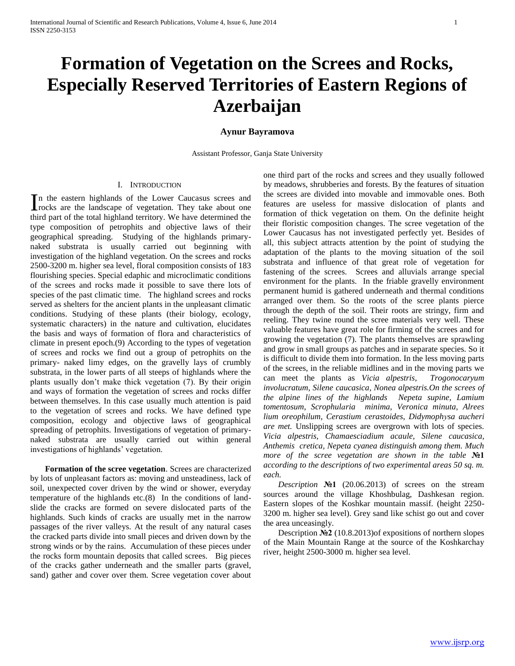# **Formation of Vegetation on the Screes and Rocks, Especially Reserved Territories of Eastern Regions of Azerbaijan**

## **Aynur Bayramova**

Assistant Professor, Ganja State University

## I. INTRODUCTION

n the eastern highlands of the Lower Caucasus screes and In the eastern highlands of the Lower Caucasus screes and rocks are the landscape of vegetation. They take about one third part of the total highland territory. We have determined the type composition of petrophits and objective laws of their geographical spreading. Studying of the highlands primarynaked substrata is usually carried out beginning with investigation of the highland vegetation. On the screes and rocks 2500-3200 m. higher sea level, floral composition consists of 183 flourishing species. Special edaphic and microclimatic conditions of the screes and rocks made it possible to save there lots of species of the past climatic time. The highland screes and rocks served as shelters for the ancient plants in the unpleasant climatic conditions. Studying of these plants (their biology, ecology, systematic characters) in the nature and cultivation, elucidates the basis and ways of formation of flora and characteristics of climate in present epoch.(9) According to the types of vegetation of screes and rocks we find out a group of petrophits on the primary- naked limy edges, on the gravelly lays of crumbly substrata, in the lower parts of all steeps of highlands where the plants usually don't make thick vegetation (7). By their origin and ways of formation the vegetation of screes and rocks differ between themselves. In this case usually much attention is paid to the vegetation of screes and rocks. We have defined type composition, ecology and objective laws of geographical spreading of petrophits. Investigations of vegetation of primarynaked substrata are usually carried out within general investigations of highlands' vegetation.

 **Formation of the scree vegetation**. Screes are characterized by lots of unpleasant factors as: moving and unsteadiness, lack of soil, unexpected cover driven by the wind or shower, everyday temperature of the highlands etc.(8) In the conditions of landslide the cracks are formed on severe dislocated parts of the highlands. Such kinds of cracks are usually met in the narrow passages of the river valleys. At the result of any natural cases the cracked parts divide into small pieces and driven down by the strong winds or by the rains. Accumulation of these pieces under the rocks form mountain deposits that called screes. Big pieces of the cracks gather underneath and the smaller parts (gravel, sand) gather and cover over them. Scree vegetation cover about

one third part of the rocks and screes and they usually followed by meadows, shrubberies and forests. By the features of situation the screes are divided into movable and immovable ones. Both features are useless for massive dislocation of plants and formation of thick vegetation on them. On the definite height their floristic composition changes. The scree vegetation of the Lower Caucasus has not investigated perfectly yet. Besides of all, this subject attracts attention by the point of studying the adaptation of the plants to the moving situation of the soil substrata and influence of that great role of vegetation for fastening of the screes. Screes and alluvials arrange special environment for the plants. In the friable gravelly environment permanent humid is gathered underneath and thermal conditions arranged over them. So the roots of the scree plants pierce through the depth of the soil. Their roots are stringy, firm and reeling. They twine round the scree materials very well. These valuable features have great role for firming of the screes and for growing the vegetation (7). The plants themselves are sprawling and grow in small groups as patches and in separate species. So it is difficult to divide them into formation. In the less moving parts of the screes, in the reliable midlines and in the moving parts we can meet the plants as *Vicia alpestris, Trogonocaryum involucratum, Silene caucasica, Nonea alpestris.On the screes of the alpine lines of the highlands Nepeta supine, Lamium tomentosum, Scrophulаria minima, Veronica minuta, Alrees lium oreophilum, Cerastium cerastoides, Didymophуsa aucheri are met.* Unslipping screes are overgrown with lots of species. *Vicia alpestris, Chamaesciadium acaule, Silene caucasica, Anthemis cretica, Nepeta cyanea distinguish among them. Much more of the scree vegetation are shown in the table* **№1** *according to the descriptions of two experimental areas 50 sq. m. each.*

*Description* **№1** (20.06.2013) of screes on the stream sources around the village Khoshbulag, Dashkesan region. Eastern slopes of the Koshkar mountain massif. (height 2250- 3200 m. higher sea level). Grey sand like schist go out and cover the area unceasingly.

Description **№2** (10.8.2013)of expositions of northern slopes of the Main Mountain Range at the source of the Koshkarchay river, height 2500-3000 m. higher sea level.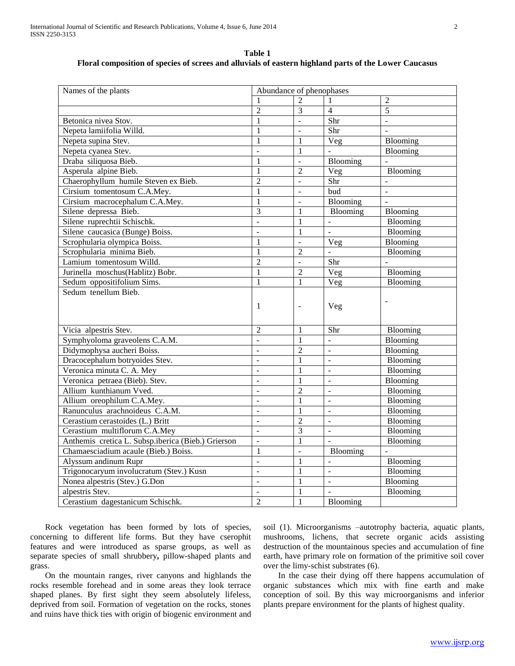**Таble 1 Floral composition of species of screes and alluvials of eastern highland parts of the Lower Caucasus**

| Names of the plants                                | Abundance of phenophases |                          |                |                |
|----------------------------------------------------|--------------------------|--------------------------|----------------|----------------|
|                                                    |                          | $\overline{2}$           |                | $\overline{2}$ |
|                                                    | $\overline{2}$           | 3                        | $\overline{4}$ | $\overline{5}$ |
| Betonica nivea Stov.                               | $\mathbf{1}$             | $\overline{a}$           | Shr            | $\mathbf{r}$   |
| Nepeta lamiifolia Willd.                           | 1                        | $\overline{a}$           | Shr            |                |
| Nepeta supina Stev.                                | 1                        | 1                        | Veg            | Blooming       |
| Nepeta cyanea Stev.                                | $\overline{a}$           | 1                        | $\overline{a}$ | Blooming       |
| Draba siliquosa Bieb.                              | $\mathbf{1}$             |                          | Blooming       |                |
| Asperula alpine Bieb.                              | 1                        | $\overline{2}$           | Veg            | Blooming       |
| Chaerophyllum humile Steven ex Bieb.               | $\overline{2}$           | $\overline{a}$           | Shr            |                |
| Cirsium tomentosum C.A.Mey.                        | $\mathbf{1}$             | $\sim$                   | bud            | $\overline{a}$ |
| Cirsium macrocephalum C.A.Mey.                     | $\mathbf{1}$             | $\overline{a}$           | Blooming       |                |
| Silene depressa Bieb.                              | $\overline{3}$           | $\mathbf{1}$             | Blooming       | Blooming       |
| Silene ruprechtii Schischk.                        | $\overline{a}$           | 1                        | $\overline{a}$ | Blooming       |
| Silene caucasica (Bunge) Boiss.                    | ÷,                       | 1                        |                | Blooming       |
| Scrophularia olympica Boiss.                       | 1                        | $\overline{a}$           | Veg            | Blooming       |
| Scrophularia minima Bieb.                          | $\mathbf{1}$             | $\mathfrak{D}$           | $\overline{a}$ | Blooming       |
| Lamium tomentosum Willd.                           | $\overline{2}$           | $\overline{a}$           | Shr            |                |
| Jurinella moschus(Hablitz) Bobr.                   | $\mathbf{1}$             | $\overline{2}$           | Veg            | Blooming       |
| Sedum oppositifolium Sims.                         | 1                        | 1                        | Veg            | Blooming       |
| Sedum tenellum Bieb.                               |                          |                          |                |                |
|                                                    | 1                        | $\overline{\phantom{a}}$ | Veg            |                |
|                                                    |                          |                          |                |                |
|                                                    |                          |                          |                |                |
| Vicia alpestris Stev.                              | $\overline{2}$           | 1                        | Shr            | Blooming       |
| Symphyoloma graveolens C.A.M.                      | $\blacksquare$           | 1                        | ÷,             | Blooming       |
| Didymophysa aucheri Boiss.                         | L.                       | $\overline{2}$           | $\overline{a}$ | Blooming       |
| Dracocephalum botryoides Stev.                     | ÷,                       | $\mathbf{1}$             | ÷,             | Blooming       |
| Veronica minuta C. A. Mey                          |                          | $\mathbf{1}$             | $\overline{a}$ | Blooming       |
| Veronica petraea (Bieb). Stev.                     | $\Box$                   | 1                        | $\overline{a}$ | Blooming       |
| Allium kunthianum Vved.                            | ÷,                       | $\overline{2}$           | ÷,             | Blooming       |
| Allium oreophilum C.A.Mey.                         | L.                       | 1                        | $\overline{a}$ | Blooming       |
| Ranunculus arachnoideus C.A.M.                     | ÷,                       | $\mathbf{1}$             | $\overline{a}$ | Blooming       |
| Cerastium cerastoides (L.) Britt                   | $\overline{a}$           | $\overline{2}$           | $\overline{a}$ | Blooming       |
| Cerastium multiflorum C.A.Mey                      | $\frac{1}{2}$            | 3                        | $\overline{a}$ | Blooming       |
| Anthemis cretica L. Subsp.iberica (Bieb.) Grierson | $\overline{\phantom{a}}$ | $\mathbf{1}$             |                | Blooming       |
| Chamaesciadium acaule (Bieb.) Boiss.               | $\mathbf{1}$             | $\Box$                   | Blooming       |                |
| Alyssum andinum Rupr                               | L.                       | $\mathbf{1}$             |                | Blooming       |
| Trigonocaryum involucratum (Stev.) Kusn            | $\overline{a}$           | 1                        | $\overline{a}$ | Blooming       |
| Nonea alpestris (Stev.) G.Don                      | $\bar{\phantom{a}}$      | 1                        | $\frac{1}{2}$  | Blooming       |
| alpestris Stev.                                    | $\overline{a}$           | 1                        |                | Blooming       |
| Cerastium dagestanicum Schischk.                   | $\overline{2}$           | 1                        | Blooming       |                |

Rock vegetation has been formed by lots of species, concerning to different life forms. But they have cserophit features and were introduced as sparse groups, as well as separate species of small shrubbery**,** pillow-shaped plants and grass.

On the mountain ranges, river canyons and highlands the rocks resemble forehead and in some areas they look terrace shaped planes. By first sight they seem absolutely lifeless, deprived from soil. Formation of vegetation on the rocks, stones and ruins have thick ties with origin of biogenic environment and soil (1). Microorganisms –autotrophy bacteria, aquatic plants, mushrooms, lichens, that secrete organic acids assisting destruction of the mountainous species and accumulation of fine earth, have primary role on formation of the primitive soil cover over the limy-schist substrates (6).

In the case their dying off there happens accumulation of organic substances which mix with fine earth and make conception of soil. By this way microorganisms and inferior plants prepare environment for the plants of highest quality.